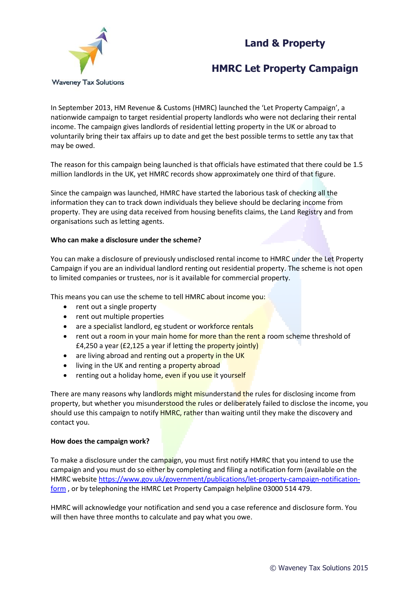# **Land & Property**



## **HMRC Let Property Campaign**

In September 2013, HM Revenue & Customs (HMRC) launched the 'Let Property Campaign', a nationwide campaign to target residential property landlords who were not declaring their rental income. The campaign gives landlords of residential letting property in the UK or abroad to voluntarily bring their tax affairs up to date and get the best possible terms to settle any tax that may be owed.

The reason for this campaign being launched is that officials have estimated that there could be 1.5 million landlords in the UK, yet HMRC records show approximately one third of that figure.

Since the campaign was launched, HMRC have started the laborious task of checking all the information they can to track down individuals they believe should be declaring income from property. They are using data received from housing benefits claims, the Land Registry and from organisations such as letting agents.

### **Who can make a disclosure under the scheme?**

You can make a disclosure of previously undisclosed rental income to HMRC under the Let Property Campaign if you are an individual landlord renting out residential property. The scheme is not open to limited companies or trustees, nor is it available for commercial property.

This means you can use the scheme to tell HMRC about income you:

- rent out a single property
- rent out multiple properties
- are a specialist landlord, eg student or workforce rentals
- rent out a room in your main home for more than the rent a room scheme threshold of £4,250 a year (£2,125 a year if letting the property jointly)
- are living abroad and renting out a property in the UK
- living in the UK and renting a property abroad
- renting out a holiday home, even if you use it yourself

There are many reasons why landlords might misunderstand the rules for disclosing income from property, but whether you misunderstood the rules or deliberately failed to disclose the income, you should use this campaign to notify **HMRC, rather than waiting until they make the discovery and** contact you.

### **How does the campaign work?**

To make a disclosure under the campaign, you must first notify HMRC that you intend to use the campaign and you must do so either by completing and filing a notification form (available on the HMRC website [https://www.gov.uk/government/publications/let-property-campaign-notification](https://www.gov.uk/government/publications/let-property-campaign-notification-form)[form](https://www.gov.uk/government/publications/let-property-campaign-notification-form), or by telephoning the HMRC Let Property Campaign helpline 03000 514 479.

HMRC will acknowledge your notification and send you a case reference and disclosure form. You will then have three months to calculate and pay what you owe.